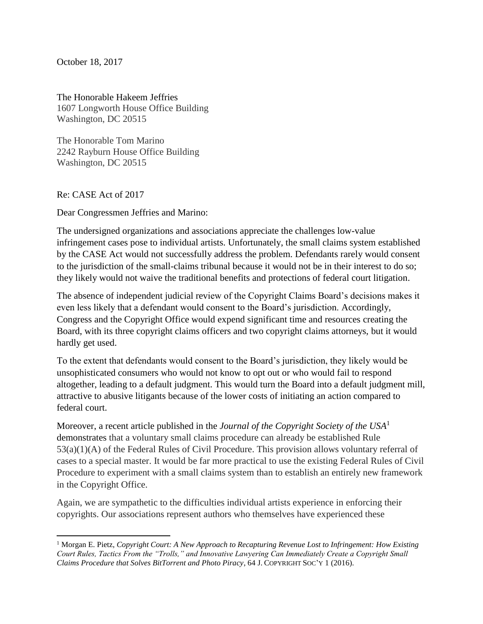October 18, 2017

The Honorable Hakeem Jeffries 1607 Longworth House Office Building Washington, DC 20515

The Honorable Tom Marino 2242 Rayburn House Office Building Washington, DC 20515

Re: CASE Act of 2017

Dear Congressmen Jeffries and Marino:

The undersigned organizations and associations appreciate the challenges low-value infringement cases pose to individual artists. Unfortunately, the small claims system established by the CASE Act would not successfully address the problem. Defendants rarely would consent to the jurisdiction of the small-claims tribunal because it would not be in their interest to do so; they likely would not waive the traditional benefits and protections of federal court litigation.

The absence of independent judicial review of the Copyright Claims Board's decisions makes it even less likely that a defendant would consent to the Board's jurisdiction. Accordingly, Congress and the Copyright Office would expend significant time and resources creating the Board, with its three copyright claims officers and two copyright claims attorneys, but it would hardly get used.

To the extent that defendants would consent to the Board's jurisdiction, they likely would be unsophisticated consumers who would not know to opt out or who would fail to respond altogether, leading to a default judgment. This would turn the Board into a default judgment mill, attractive to abusive litigants because of the lower costs of initiating an action compared to federal court.

Moreover, a recent article published in the *Journal of the Copyright Society of the USA*<sup>1</sup> demonstrates that a voluntary small claims procedure can already be established Rule 53(a)(1)(A) of the Federal Rules of Civil Procedure. This provision allows voluntary referral of cases to a special master. It would be far more practical to use the existing Federal Rules of Civil Procedure to experiment with a small claims system than to establish an entirely new framework in the Copyright Office.

Again, we are sympathetic to the difficulties individual artists experience in enforcing their copyrights. Our associations represent authors who themselves have experienced these

 $\overline{\phantom{a}}$ <sup>1</sup> Morgan E. Pietz, *Copyright Court: A New Approach to Recapturing Revenue Lost to Infringement: How Existing Court Rules, Tactics From the "Trolls," and Innovative Lawyering Can Immediately Create a Copyright Small Claims Procedure that Solves BitTorrent and Photo Piracy*, 64 J. COPYRIGHT SOC'Y 1 (2016).